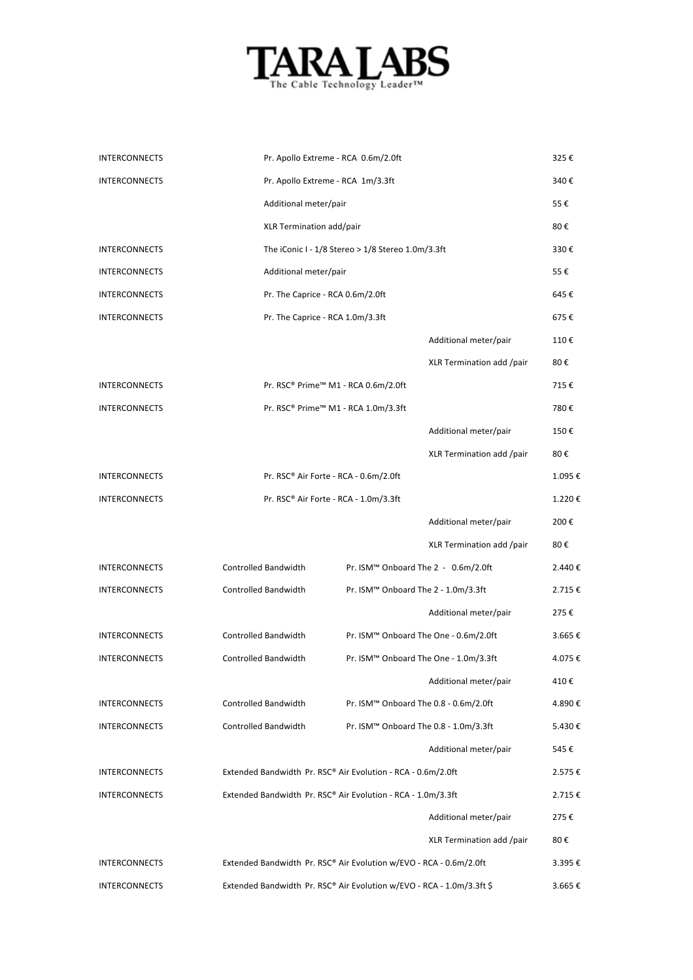

| <b>INTERCONNECTS</b> |                                                                       | Pr. Apollo Extreme - RCA 0.6m/2.0ft               |                           | 325€   |
|----------------------|-----------------------------------------------------------------------|---------------------------------------------------|---------------------------|--------|
| <b>INTERCONNECTS</b> |                                                                       | Pr. Apollo Extreme - RCA 1m/3.3ft                 |                           | 340€   |
|                      | Additional meter/pair                                                 |                                                   |                           | 55€    |
|                      | XLR Termination add/pair                                              |                                                   |                           | 80€    |
| <b>INTERCONNECTS</b> |                                                                       | The iConic I - 1/8 Stereo > 1/8 Stereo 1.0m/3.3ft |                           | 330€   |
| <b>INTERCONNECTS</b> | Additional meter/pair                                                 |                                                   |                           | 55€    |
| <b>INTERCONNECTS</b> | Pr. The Caprice - RCA 0.6m/2.0ft                                      |                                                   |                           | 645€   |
| <b>INTERCONNECTS</b> | Pr. The Caprice - RCA 1.0m/3.3ft                                      |                                                   |                           | 675€   |
|                      |                                                                       |                                                   | Additional meter/pair     | 110€   |
|                      |                                                                       |                                                   | XLR Termination add /pair | 80€    |
| <b>INTERCONNECTS</b> |                                                                       | Pr. RSC® Prime™ M1 - RCA 0.6m/2.0ft               |                           | 715€   |
| <b>INTERCONNECTS</b> |                                                                       | Pr. RSC® Prime™ M1 - RCA 1.0m/3.3ft               |                           | 780€   |
|                      |                                                                       |                                                   | Additional meter/pair     | 150€   |
|                      |                                                                       |                                                   | XLR Termination add /pair | 80€    |
| <b>INTERCONNECTS</b> |                                                                       | Pr. RSC® Air Forte - RCA - 0.6m/2.0ft             |                           | 1.095€ |
| <b>INTERCONNECTS</b> |                                                                       | Pr. RSC® Air Forte - RCA - 1.0m/3.3ft             |                           | 1.220€ |
|                      |                                                                       |                                                   | Additional meter/pair     | 200€   |
|                      |                                                                       |                                                   | XLR Termination add /pair | 80€    |
| <b>INTERCONNECTS</b> | Controlled Bandwidth                                                  | Pr. ISM <sup>™</sup> Onboard The 2 - 0.6m/2.0ft   |                           | 2.440€ |
| <b>INTERCONNECTS</b> | Controlled Bandwidth                                                  | Pr. ISM <sup>™</sup> Onboard The 2 - 1.0m/3.3ft   |                           | 2.715€ |
|                      |                                                                       |                                                   | Additional meter/pair     | 275€   |
| <b>INTERCONNECTS</b> | Controlled Bandwidth                                                  | Pr. ISM™ Onboard The One - 0.6m/2.0ft             |                           | 3.665€ |
| <b>INTERCONNECTS</b> | <b>Controlled Bandwidth</b>                                           | Pr. ISM™ Onboard The One - 1.0m/3.3ft             |                           | 4.075€ |
|                      |                                                                       |                                                   | Additional meter/pair     | 410€   |
| <b>INTERCONNECTS</b> | Controlled Bandwidth                                                  | Pr. ISM™ Onboard The 0.8 - 0.6m/2.0ft             |                           | 4.890€ |
| <b>INTERCONNECTS</b> | Controlled Bandwidth                                                  | Pr. ISM™ Onboard The 0.8 - 1.0m/3.3ft             |                           | 5.430€ |
|                      |                                                                       |                                                   | Additional meter/pair     | 545€   |
| INTERCONNECTS        | Extended Bandwidth Pr. RSC® Air Evolution - RCA - 0.6m/2.0ft          |                                                   |                           | 2.575€ |
| <b>INTERCONNECTS</b> | Extended Bandwidth Pr. RSC® Air Evolution - RCA - 1.0m/3.3ft          |                                                   |                           | 2.715€ |
|                      |                                                                       |                                                   | Additional meter/pair     | 275€   |
|                      |                                                                       |                                                   | XLR Termination add /pair | 80€    |
| INTERCONNECTS        | Extended Bandwidth Pr. RSC® Air Evolution w/EVO - RCA - 0.6m/2.0ft    |                                                   |                           | 3.395€ |
| <b>INTERCONNECTS</b> | Extended Bandwidth Pr. RSC® Air Evolution w/EVO - RCA - 1.0m/3.3ft \$ |                                                   |                           | 3.665€ |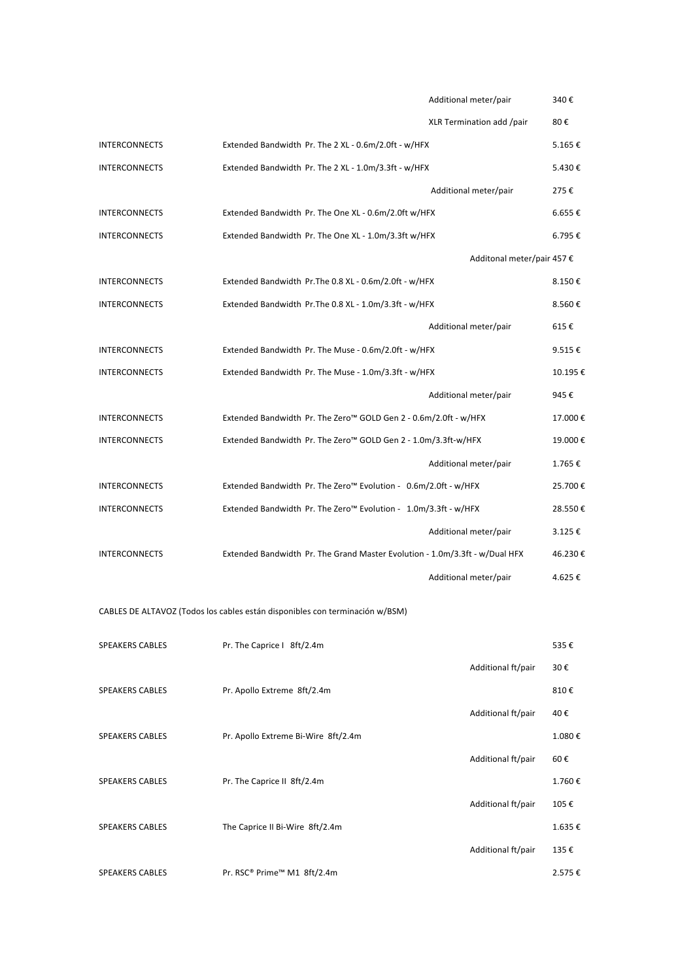|                        |                                                                              | Additional meter/pair      | 340€        |
|------------------------|------------------------------------------------------------------------------|----------------------------|-------------|
|                        |                                                                              | XLR Termination add /pair  | 80€         |
| <b>INTERCONNECTS</b>   | Extended Bandwidth Pr. The 2 XL - 0.6m/2.0ft - w/HFX                         |                            | 5.165€      |
| <b>INTERCONNECTS</b>   | Extended Bandwidth Pr. The 2 XL - 1.0m/3.3ft - w/HFX                         |                            | 5.430€      |
|                        |                                                                              | Additional meter/pair      | 275€        |
| <b>INTERCONNECTS</b>   | Extended Bandwidth Pr. The One XL - 0.6m/2.0ft w/HFX                         |                            | $6.655 \in$ |
| <b>INTERCONNECTS</b>   | Extended Bandwidth Pr. The One XL - 1.0m/3.3ft w/HFX                         |                            | 6.795€      |
|                        |                                                                              | Additonal meter/pair 457 € |             |
| <b>INTERCONNECTS</b>   | Extended Bandwidth Pr. The 0.8 XL - 0.6m/2.0ft - w/HFX                       |                            | 8.150€      |
| <b>INTERCONNECTS</b>   | Extended Bandwidth Pr. The 0.8 XL - 1.0m/3.3ft - w/HFX                       |                            | 8.560€      |
|                        |                                                                              | Additional meter/pair      | 615€        |
| <b>INTERCONNECTS</b>   | Extended Bandwidth Pr. The Muse - 0.6m/2.0ft - w/HFX                         |                            | 9.515€      |
| <b>INTERCONNECTS</b>   | Extended Bandwidth Pr. The Muse - 1.0m/3.3ft - w/HFX                         |                            | 10.195€     |
|                        |                                                                              | Additional meter/pair      | 945€        |
| <b>INTERCONNECTS</b>   | Extended Bandwidth Pr. The Zero™ GOLD Gen 2 - 0.6m/2.0ft - w/HFX             |                            | 17.000€     |
| <b>INTERCONNECTS</b>   | Extended Bandwidth Pr. The Zero™ GOLD Gen 2 - 1.0m/3.3ft-w/HFX               |                            | 19.000€     |
|                        |                                                                              | Additional meter/pair      | 1.765€      |
| <b>INTERCONNECTS</b>   | Extended Bandwidth Pr. The Zero <sup>™</sup> Evolution - 0.6m/2.0ft - w/HFX  |                            | 25.700€     |
| <b>INTERCONNECTS</b>   | Extended Bandwidth Pr. The Zero™ Evolution - 1.0m/3.3ft - w/HFX              |                            | 28.550€     |
|                        |                                                                              | Additional meter/pair      | $3.125 \in$ |
| <b>INTERCONNECTS</b>   | Extended Bandwidth Pr. The Grand Master Evolution - 1.0m/3.3ft - w/Dual HFX  |                            | 46.230€     |
|                        |                                                                              | Additional meter/pair      | 4.625€      |
|                        | CABLES DE ALTAVOZ (Todos los cables están disponibles con terminación w/BSM) |                            |             |
|                        |                                                                              |                            |             |
| <b>SPEAKERS CABLES</b> | Pr. The Caprice I 8ft/2.4m                                                   |                            | 535€        |
|                        |                                                                              | Additional ft/pair         | 30€         |
| <b>SPEAKERS CABLES</b> | Pr. Apollo Extreme 8ft/2.4m                                                  |                            | 810€        |
|                        |                                                                              | Additional ft/pair         | 40€         |
| SPEAKERS CABLES        | Pr. Apollo Extreme Bi-Wire 8ft/2.4m                                          |                            | 1.080€      |
|                        |                                                                              | Additional ft/pair         | 60€         |
| SPEAKERS CABLES        | Pr. The Caprice II 8ft/2.4m                                                  |                            | 1.760€      |
|                        |                                                                              | Additional ft/pair         | 105€        |
| SPEAKERS CABLES        | The Caprice II Bi-Wire 8ft/2.4m                                              |                            | 1.635€      |
|                        |                                                                              | Additional ft/pair         | 135€        |
| <b>SPEAKERS CABLES</b> | Pr. RSC® Prime™ M1 8ft/2.4m                                                  |                            | 2.575€      |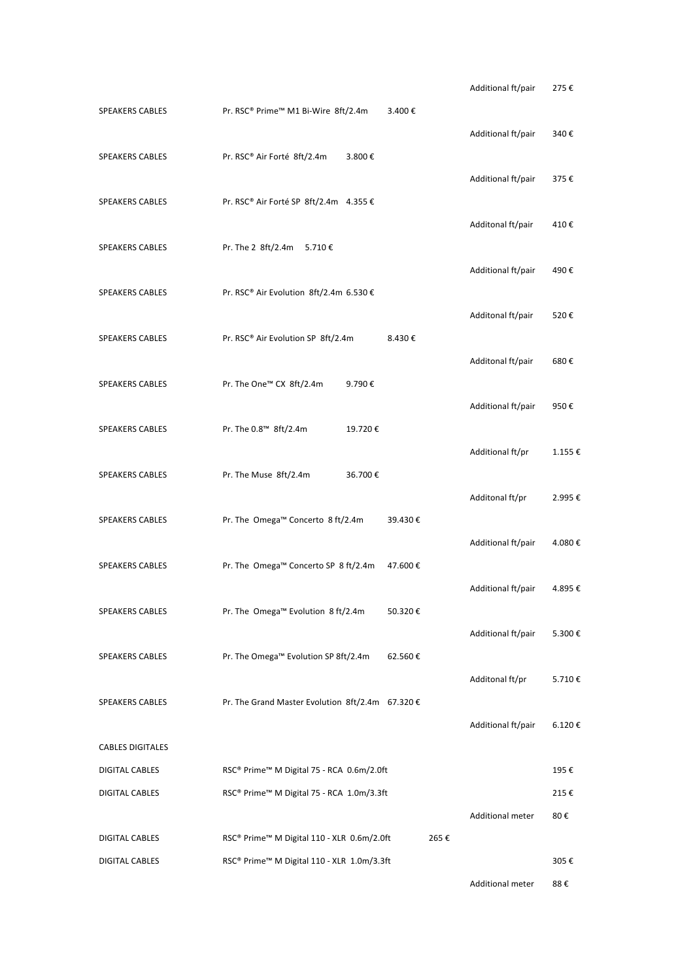|                         |                                                  |         |         |      | Additional ft/pair | 275€   |
|-------------------------|--------------------------------------------------|---------|---------|------|--------------------|--------|
| SPEAKERS CABLES         | Pr. RSC® Prime™ M1 Bi-Wire 8ft/2.4m              |         | 3.400€  |      |                    |        |
| SPEAKERS CABLES         | Pr. RSC® Air Forté 8ft/2.4m                      | 3.800€  |         |      | Additional ft/pair | 340€   |
|                         |                                                  |         |         |      | Additional ft/pair | 375€   |
| <b>SPEAKERS CABLES</b>  | Pr. RSC® Air Forté SP 8ft/2.4m 4.355 €           |         |         |      | Additonal ft/pair  | 410€   |
| <b>SPEAKERS CABLES</b>  | Pr. The 2 8ft/2.4m<br>5.710€                     |         |         |      |                    |        |
| SPEAKERS CABLES         | Pr. RSC® Air Evolution 8ft/2.4m 6.530 €          |         |         |      | Additional ft/pair | 490€   |
|                         |                                                  |         |         |      | Additonal ft/pair  | 520€   |
| <b>SPEAKERS CABLES</b>  | Pr. RSC® Air Evolution SP 8ft/2.4m               |         | 8.430€  |      | Additonal ft/pair  | 680€   |
| <b>SPEAKERS CABLES</b>  | Pr. The One™ CX 8ft/2.4m                         | 9.790€  |         |      |                    |        |
|                         |                                                  |         |         |      | Additional ft/pair | 950€   |
| <b>SPEAKERS CABLES</b>  | Pr. The 0.8™ 8ft/2.4m                            | 19.720€ |         |      | Additional ft/pr   | 1.155€ |
| SPEAKERS CABLES         | Pr. The Muse 8ft/2.4m                            | 36.700€ |         |      |                    |        |
| <b>SPEAKERS CABLES</b>  | Pr. The Omega™ Concerto 8 ft/2.4m                |         | 39.430€ |      | Additonal ft/pr    | 2.995€ |
|                         |                                                  |         |         |      | Additional ft/pair | 4.080€ |
| <b>SPEAKERS CABLES</b>  | Pr. The Omega™ Concerto SP 8 ft/2.4m             |         | 47.600€ |      | Additional ft/pair | 4.895€ |
| SPEAKERS CABLES         | Pr. The Omega™ Evolution 8 ft/2.4m               |         | 50.320€ |      |                    |        |
| SPEAKERS CABLES         | Pr. The Omega™ Evolution SP 8ft/2.4m             |         | 62.560€ |      | Additional ft/pair | 5.300€ |
|                         |                                                  |         |         |      | Additonal ft/pr    | 5.710€ |
| <b>SPEAKERS CABLES</b>  | Pr. The Grand Master Evolution 8ft/2.4m 67.320 € |         |         |      |                    |        |
| <b>CABLES DIGITALES</b> |                                                  |         |         |      | Additional ft/pair | 6.120€ |
| DIGITAL CABLES          | RSC® Prime™ M Digital 75 - RCA 0.6m/2.0ft        |         |         |      |                    | 195€   |
| DIGITAL CABLES          | RSC® Prime™ M Digital 75 - RCA 1.0m/3.3ft        |         |         |      |                    | 215€   |
|                         |                                                  |         |         |      | Additional meter   | 80€    |
| DIGITAL CABLES          | RSC® Prime™ M Digital 110 - XLR 0.6m/2.0ft       |         |         | 265€ |                    |        |
| DIGITAL CABLES          | RSC® Prime™ M Digital 110 - XLR 1.0m/3.3ft       |         |         |      |                    | 305€   |
|                         |                                                  |         |         |      | Additional meter   | 88€    |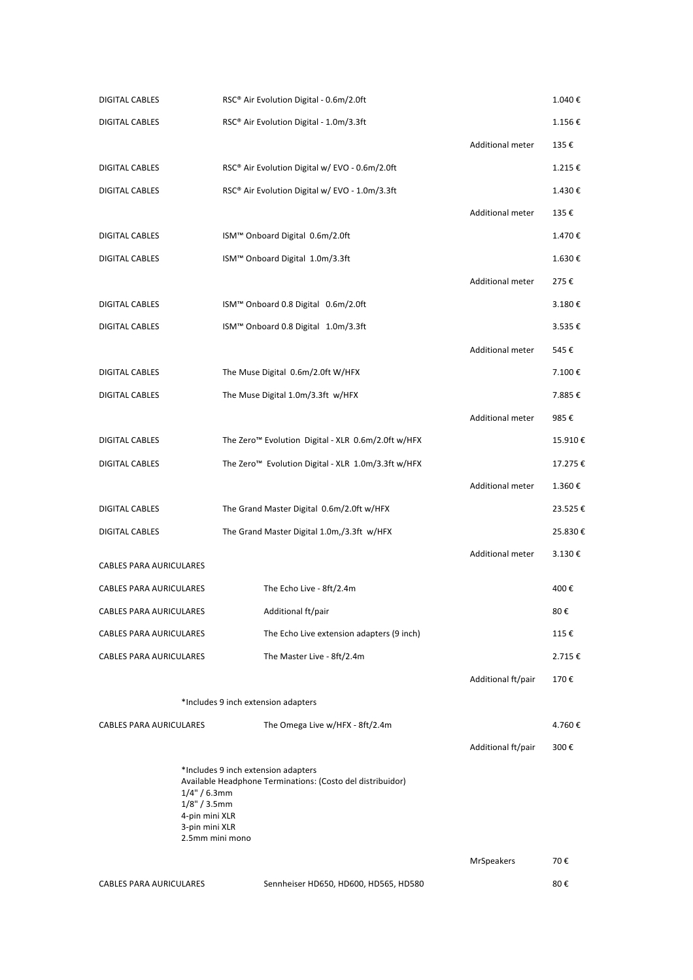| <b>DIGITAL CABLES</b>          |                                                                        | RSC® Air Evolution Digital - 0.6m/2.0ft                                                           |                         | 1.040€  |
|--------------------------------|------------------------------------------------------------------------|---------------------------------------------------------------------------------------------------|-------------------------|---------|
| DIGITAL CABLES                 |                                                                        | RSC® Air Evolution Digital - 1.0m/3.3ft                                                           |                         | 1.156€  |
|                                |                                                                        |                                                                                                   | Additional meter        | 135€    |
| DIGITAL CABLES                 |                                                                        | RSC® Air Evolution Digital w/ EVO - 0.6m/2.0ft                                                    |                         | 1.215€  |
| DIGITAL CABLES                 |                                                                        | RSC® Air Evolution Digital w/ EVO - 1.0m/3.3ft                                                    |                         | 1.430€  |
|                                |                                                                        |                                                                                                   | <b>Additional meter</b> | 135€    |
| DIGITAL CABLES                 |                                                                        | ISM™ Onboard Digital 0.6m/2.0ft                                                                   |                         | 1.470€  |
| DIGITAL CABLES                 |                                                                        | ISM™ Onboard Digital 1.0m/3.3ft                                                                   |                         | 1.630€  |
|                                |                                                                        |                                                                                                   | Additional meter        | 275€    |
| DIGITAL CABLES                 |                                                                        | ISM™ Onboard 0.8 Digital 0.6m/2.0ft                                                               |                         | 3.180€  |
| DIGITAL CABLES                 |                                                                        | ISM™ Onboard 0.8 Digital 1.0m/3.3ft                                                               |                         | 3.535€  |
|                                |                                                                        |                                                                                                   | <b>Additional meter</b> | 545€    |
| DIGITAL CABLES                 |                                                                        | The Muse Digital 0.6m/2.0ft W/HFX                                                                 |                         | 7.100€  |
| <b>DIGITAL CABLES</b>          |                                                                        | The Muse Digital 1.0m/3.3ft w/HFX                                                                 |                         | 7.885€  |
|                                |                                                                        |                                                                                                   | <b>Additional meter</b> | 985€    |
| DIGITAL CABLES                 |                                                                        | The Zero <sup>™</sup> Evolution Digital - XLR 0.6m/2.0ft w/HFX                                    |                         | 15.910€ |
| DIGITAL CABLES                 |                                                                        | The Zero <sup>™</sup> Evolution Digital - XLR 1.0m/3.3ft w/HFX                                    |                         | 17.275€ |
|                                |                                                                        |                                                                                                   | Additional meter        | 1.360€  |
| DIGITAL CABLES                 |                                                                        | The Grand Master Digital 0.6m/2.0ft w/HFX                                                         |                         | 23.525€ |
| DIGITAL CABLES                 |                                                                        | The Grand Master Digital 1.0m,/3.3ft w/HFX                                                        |                         | 25.830€ |
| CABLES PARA AURICULARES        |                                                                        |                                                                                                   | Additional meter        | 3.130€  |
| CABLES PARA AURICULARES        |                                                                        | The Echo Live - 8ft/2.4m                                                                          |                         | 400€    |
| <b>CABLES PARA AURICULARES</b> |                                                                        | Additional ft/pair                                                                                |                         | 80€     |
| <b>CABLES PARA AURICULARES</b> |                                                                        | The Echo Live extension adapters (9 inch)                                                         |                         | 115€    |
| CABLES PARA AURICULARES        |                                                                        | The Master Live - 8ft/2.4m                                                                        |                         | 2.715€  |
|                                |                                                                        |                                                                                                   | Additional ft/pair      | 170€    |
|                                |                                                                        | *Includes 9 inch extension adapters                                                               |                         |         |
| CABLES PARA AURICULARES        |                                                                        | The Omega Live w/HFX - 8ft/2.4m                                                                   |                         | 4.760€  |
|                                |                                                                        |                                                                                                   | Additional ft/pair      | 300€    |
| $1/8" / 3.5$ mm                | $1/4" / 6.3$ mm<br>4-pin mini XLR<br>3-pin mini XLR<br>2.5mm mini mono | *Includes 9 inch extension adapters<br>Available Headphone Terminations: (Costo del distribuidor) |                         |         |
|                                |                                                                        |                                                                                                   | <b>MrSpeakers</b>       | 70€     |
| <b>CABLES PARA AURICULARES</b> |                                                                        | Sennheiser HD650, HD600, HD565, HD580                                                             |                         | 80€     |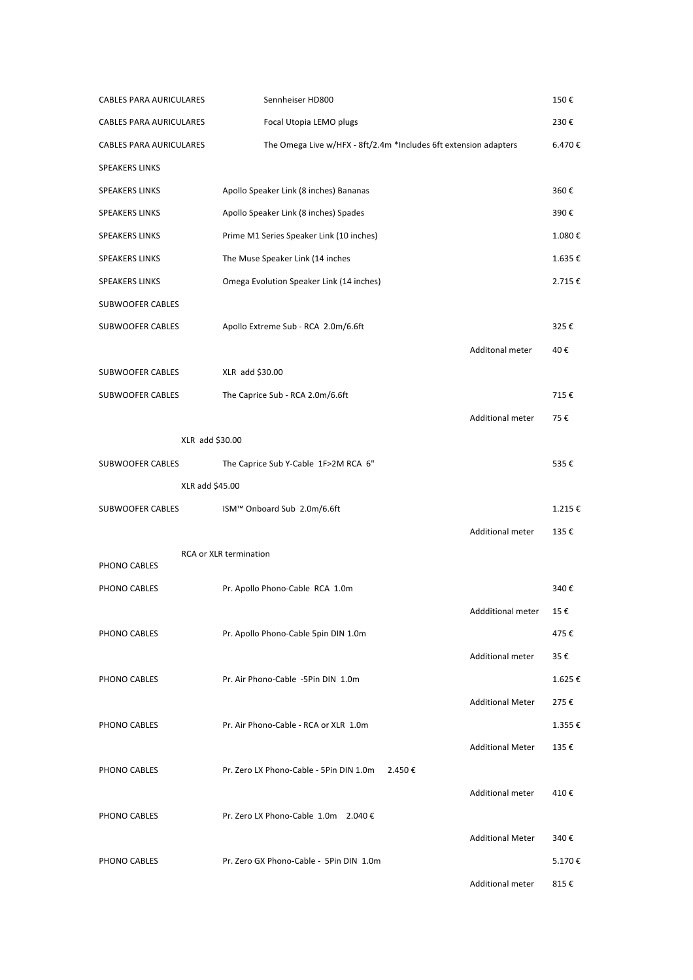| CABLES PARA AURICULARES | Sennheiser HD800                                                 |                         | 150€   |
|-------------------------|------------------------------------------------------------------|-------------------------|--------|
| CABLES PARA AURICULARES | Focal Utopia LEMO plugs                                          |                         | 230€   |
| CABLES PARA AURICULARES | The Omega Live w/HFX - 8ft/2.4m *Includes 6ft extension adapters |                         | 6.470€ |
| <b>SPEAKERS LINKS</b>   |                                                                  |                         |        |
| <b>SPEAKERS LINKS</b>   | Apollo Speaker Link (8 inches) Bananas                           |                         | 360€   |
| <b>SPEAKERS LINKS</b>   | Apollo Speaker Link (8 inches) Spades                            |                         | 390€   |
| <b>SPEAKERS LINKS</b>   | Prime M1 Series Speaker Link (10 inches)                         |                         | 1.080€ |
| <b>SPEAKERS LINKS</b>   | The Muse Speaker Link (14 inches                                 |                         | 1.635€ |
| <b>SPEAKERS LINKS</b>   | Omega Evolution Speaker Link (14 inches)                         |                         | 2.715€ |
| SUBWOOFER CABLES        |                                                                  |                         |        |
| SUBWOOFER CABLES        | Apollo Extreme Sub - RCA 2.0m/6.6ft                              |                         | 325€   |
|                         |                                                                  | Additonal meter         | 40€    |
| SUBWOOFER CABLES        | XLR add \$30.00                                                  |                         |        |
| SUBWOOFER CABLES        | The Caprice Sub - RCA 2.0m/6.6ft                                 |                         | 715€   |
|                         |                                                                  | <b>Additional meter</b> | 75€    |
| XLR add \$30.00         |                                                                  |                         |        |
| SUBWOOFER CABLES        | The Caprice Sub Y-Cable 1F>2M RCA 6"                             |                         | 535€   |
| XLR add \$45.00         |                                                                  |                         |        |
| SUBWOOFER CABLES        | ISM™ Onboard Sub 2.0m/6.6ft                                      |                         | 1.215€ |
|                         |                                                                  | <b>Additional meter</b> | 135€   |
| PHONO CABLES            | RCA or XLR termination                                           |                         |        |
| PHONO CABLES            | Pr. Apollo Phono-Cable RCA 1.0m                                  |                         | 340€   |
|                         |                                                                  | Addditional meter       | 15€    |
| PHONO CABLES            | Pr. Apollo Phono-Cable 5pin DIN 1.0m                             |                         | 475€   |
|                         |                                                                  | <b>Additional meter</b> | 35€    |
| PHONO CABLES            | Pr. Air Phono-Cable -5Pin DIN 1.0m                               |                         | 1.625€ |
|                         |                                                                  | <b>Additional Meter</b> | 275€   |
| PHONO CABLES            | Pr. Air Phono-Cable - RCA or XLR 1.0m                            |                         | 1.355€ |
|                         |                                                                  | <b>Additional Meter</b> | 135€   |
| PHONO CABLES            | Pr. Zero LX Phono-Cable - 5Pin DIN 1.0m<br>2.450€                |                         |        |
|                         |                                                                  | <b>Additional meter</b> | 410€   |
| PHONO CABLES            | Pr. Zero LX Phono-Cable 1.0m 2.040 €                             |                         |        |
|                         |                                                                  | <b>Additional Meter</b> | 340€   |
| PHONO CABLES            | Pr. Zero GX Phono-Cable - 5Pin DIN 1.0m                          |                         | 5.170€ |
|                         |                                                                  | Additional meter        | 815€   |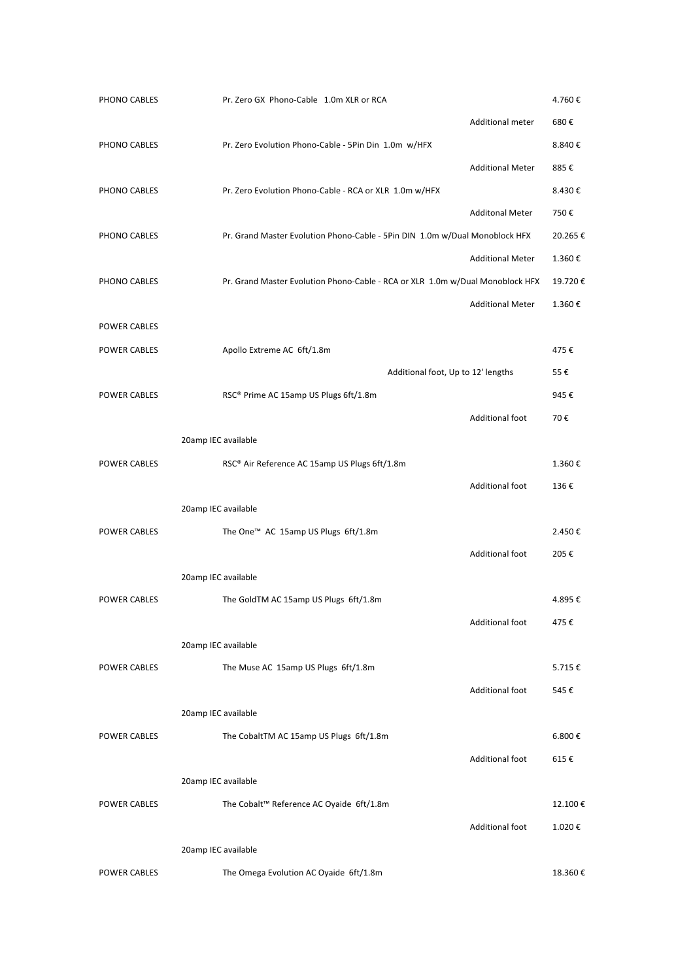| PHONO CABLES        | Pr. Zero GX Phono-Cable 1.0m XLR or RCA                                       | 4.760€  |
|---------------------|-------------------------------------------------------------------------------|---------|
|                     | Additional meter                                                              | 680€    |
| PHONO CABLES        | Pr. Zero Evolution Phono-Cable - 5Pin Din 1.0m w/HFX                          | 8.840€  |
|                     | <b>Additional Meter</b>                                                       | 885€    |
| PHONO CABLES        | Pr. Zero Evolution Phono-Cable - RCA or XLR 1.0m w/HFX                        | 8.430€  |
|                     | <b>Additonal Meter</b>                                                        | 750€    |
| PHONO CABLES        | Pr. Grand Master Evolution Phono-Cable - 5Pin DIN 1.0m w/Dual Monoblock HFX   | 20.265€ |
|                     | <b>Additional Meter</b>                                                       | 1.360€  |
| PHONO CABLES        | Pr. Grand Master Evolution Phono-Cable - RCA or XLR 1.0m w/Dual Monoblock HFX | 19.720€ |
|                     | <b>Additional Meter</b>                                                       | 1.360€  |
| POWER CABLES        |                                                                               |         |
| <b>POWER CABLES</b> | Apollo Extreme AC 6ft/1.8m                                                    | 475€    |
|                     | Additional foot, Up to 12' lengths                                            | 55€     |
| POWER CABLES        | RSC® Prime AC 15amp US Plugs 6ft/1.8m                                         | 945€    |
|                     | <b>Additional foot</b>                                                        | 70€     |
|                     | 20amp IEC available                                                           |         |
| POWER CABLES        | RSC® Air Reference AC 15amp US Plugs 6ft/1.8m                                 | 1.360€  |
|                     | Additional foot                                                               | 136€    |
|                     | 20amp IEC available                                                           |         |
| POWER CABLES        | The One <sup>™</sup> AC 15amp US Plugs 6ft/1.8m                               | 2.450€  |
|                     | Additional foot                                                               | 205€    |
|                     | 20amp IEC available                                                           |         |
| POWER CABLES        | The GoldTM AC 15amp US Plugs 6ft/1.8m                                         | 4.895€  |
|                     | Additional foot                                                               | 475€    |
|                     | 20amp IEC available                                                           |         |
| POWER CABLES        | The Muse AC 15amp US Plugs 6ft/1.8m                                           | 5.715€  |
|                     | <b>Additional foot</b>                                                        | 545€    |
|                     | 20amp IEC available                                                           |         |
| POWER CABLES        | The CobaltTM AC 15amp US Plugs 6ft/1.8m                                       | 6.800€  |
|                     | Additional foot                                                               | 615€    |
|                     | 20amp IEC available                                                           |         |
| POWER CABLES        | The Cobalt™ Reference AC Oyaide 6ft/1.8m                                      | 12.100€ |
|                     | Additional foot                                                               | 1.020€  |
|                     | 20amp IEC available                                                           |         |
| POWER CABLES        | The Omega Evolution AC Oyaide 6ft/1.8m                                        | 18.360€ |